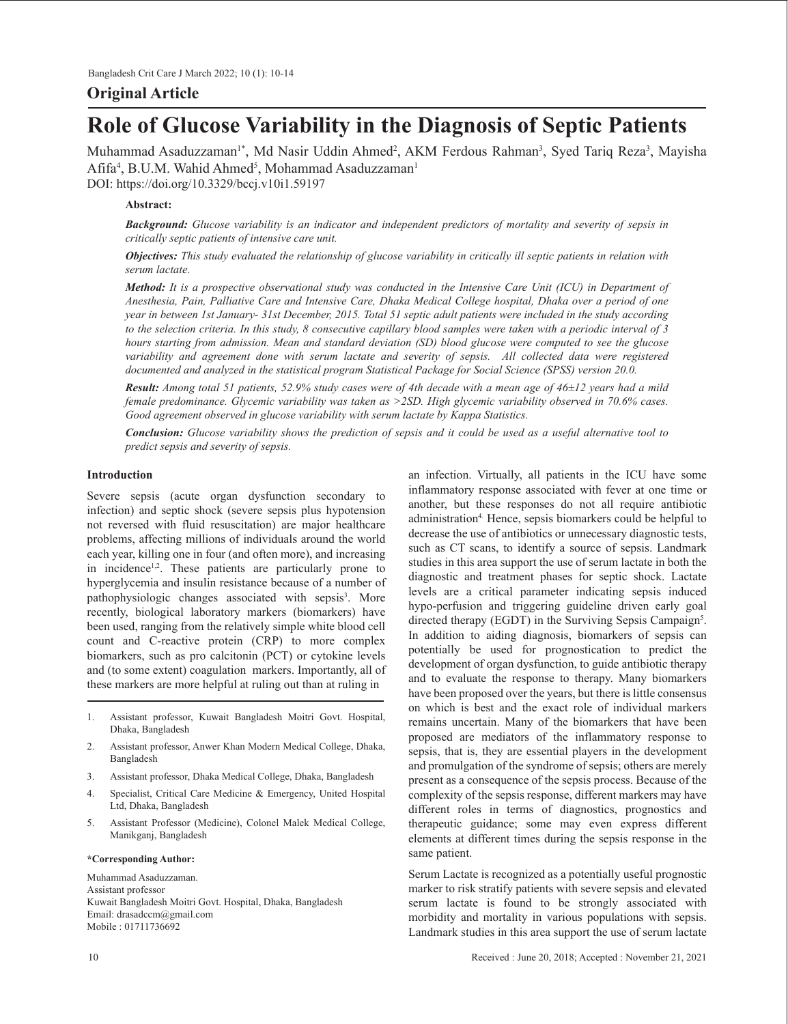# **Original Article**

# **Role of Glucose Variability in the Diagnosis of Septic Patients**

Muhammad Asaduzzaman<sup>1\*</sup>, Md Nasir Uddin Ahmed<sup>2</sup>, AKM Ferdous Rahman<sup>3</sup>, Syed Tariq Reza<sup>3</sup>, Mayisha  $\mathrm{Afff}a^{4}, \mathrm{B.U.M.}$  Wahid  $\mathrm{Ahmed}^{5}, \mathrm{Mohammad}\ \mathrm{Asaduzzaman}^{1}$ DOI: https://doi.org/10.3329/bccj.v10i1.59197

#### **Abstract:**

*Background: Glucose variability is an indicator and independent predictors of mortality and severity of sepsis in critically septic patients of intensive care unit.*

*Objectives: This study evaluated the relationship of glucose variability in critically ill septic patients in relation with serum lactate.*

*Method: It is a prospective observational study was conducted in the Intensive Care Unit (ICU) in Department of Anesthesia, Pain, Palliative Care and Intensive Care, Dhaka Medical College hospital, Dhaka over a period of one year in between 1st January- 31st December, 2015. Total 51 septic adult patients were included in the study according to the selection criteria. In this study, 8 consecutive capillary blood samples were taken with a periodic interval of 3 hours starting from admission. Mean and standard deviation (SD) blood glucose were computed to see the glucose* variability and agreement done with serum lactate and severity of sepsis. All collected data were registered *documented and analyzed in the statistical program Statistical Package for Social Science (SPSS) version 20.0.*

*Result: Among total 51 patients, 52.9% study cases were of 4th decade with a mean age of 46±12 years had a mild female predominance. Glycemic variability was taken as >2SD. High glycemic variability observed in 70.6% cases. Good agreement observed in glucose variability with serum lactate by Kappa Statistics.* 

*Conclusion: Glucose variability shows the prediction of sepsis and it could be used as a useful alternative tool to predict sepsis and severity of sepsis.*

# **Introduction**

Severe sepsis (acute organ dysfunction secondary to infection) and septic shock (severe sepsis plus hypotension not reversed with fluid resuscitation) are major healthcare problems, affecting millions of individuals around the world each year, killing one in four (and often more), and increasing in incidence<sup>1,2</sup>. These patients are particularly prone to hyperglycemia and insulin resistance because of a number of pathophysiologic changes associated with sepsis<sup>3</sup>. More recently, biological laboratory markers (biomarkers) have been used, ranging from the relatively simple white blood cell count and C-reactive protein (CRP) to more complex biomarkers, such as pro calcitonin (PCT) or cytokine levels and (to some extent) coagulation markers. Importantly, all of these markers are more helpful at ruling out than at ruling in

- 1. Assistant professor, Kuwait Bangladesh Moitri Govt. Hospital, Dhaka, Bangladesh
- 2. Assistant professor, Anwer Khan Modern Medical College, Dhaka, Bangladesh
- 3. Assistant professor, Dhaka Medical College, Dhaka, Bangladesh
- 4. Specialist, Critical Care Medicine & Emergency, United Hospital Ltd, Dhaka, Bangladesh
- 5. Assistant Professor (Medicine), Colonel Malek Medical College, Manikganj, Bangladesh

#### **\*Corresponding Author:**

Muhammad Asaduzzaman. Assistant professor Kuwait Bangladesh Moitri Govt. Hospital, Dhaka, Bangladesh Email: drasadccm@gmail.com Mobile : 01711736692

an infection. Virtually, all patients in the ICU have some inflammatory response associated with fever at one time or another, but these responses do not all require antibiotic administration<sup>4</sup>. Hence, sepsis biomarkers could be helpful to decrease the use of antibiotics or unnecessary diagnostic tests, such as CT scans, to identify a source of sepsis. Landmark studies in this area support the use of serum lactate in both the diagnostic and treatment phases for septic shock. Lactate levels are a critical parameter indicating sepsis induced hypo-perfusion and triggering guideline driven early goal directed therapy (EGDT) in the Surviving Sepsis Campaign<sup>5</sup>. In addition to aiding diagnosis, biomarkers of sepsis can potentially be used for prognostication to predict the development of organ dysfunction, to guide antibiotic therapy and to evaluate the response to therapy. Many biomarkers have been proposed over the years, but there is little consensus on which is best and the exact role of individual markers remains uncertain. Many of the biomarkers that have been proposed are mediators of the inflammatory response to sepsis, that is, they are essential players in the development and promulgation of the syndrome of sepsis; others are merely present as a consequence of the sepsis process. Because of the complexity of the sepsis response, different markers may have different roles in terms of diagnostics, prognostics and therapeutic guidance; some may even express different elements at different times during the sepsis response in the same patient.

Serum Lactate is recognized as a potentially useful prognostic marker to risk stratify patients with severe sepsis and elevated serum lactate is found to be strongly associated with morbidity and mortality in various populations with sepsis. Landmark studies in this area support the use of serum lactate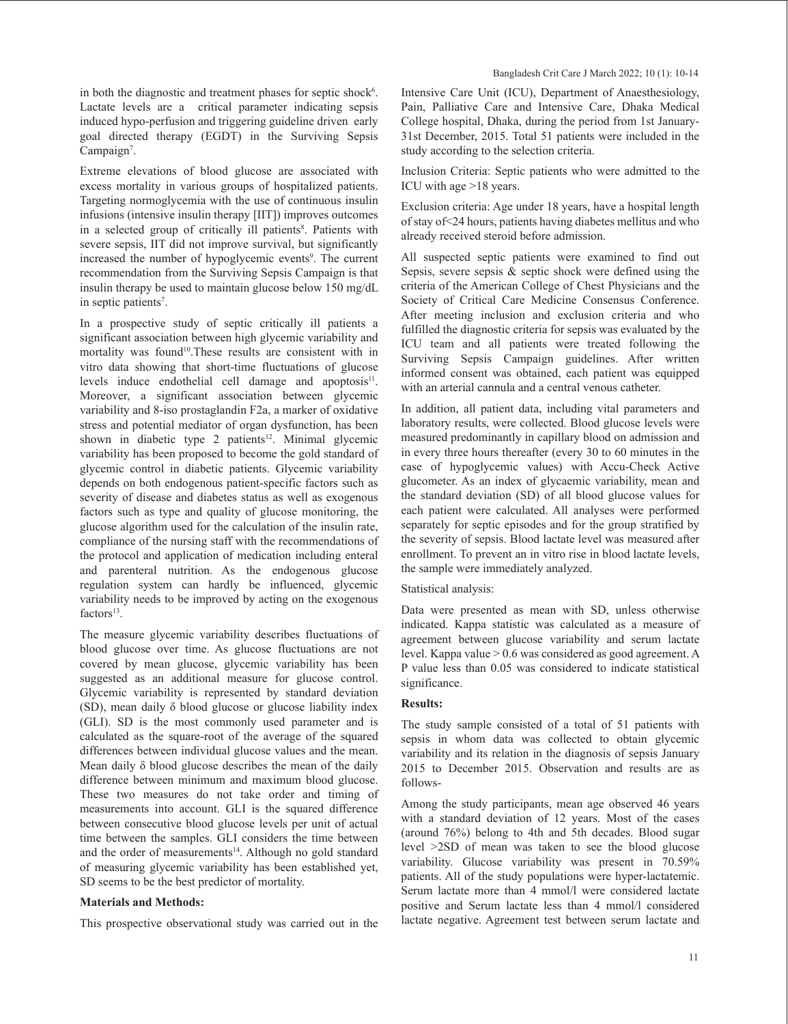in both the diagnostic and treatment phases for septic shock<sup>6</sup>. Lactate levels are a critical parameter indicating sepsis induced hypo-perfusion and triggering guideline driven early goal directed therapy (EGDT) in the Surviving Sepsis Campaign<sup>7</sup>.

Extreme elevations of blood glucose are associated with excess mortality in various groups of hospitalized patients. Targeting normoglycemia with the use of continuous insulin infusions (intensive insulin therapy [IIT]) improves outcomes in a selected group of critically ill patients<sup>8</sup>. Patients with severe sepsis, IIT did not improve survival, but significantly increased the number of hypoglycemic events<sup>9</sup>. The current recommendation from the Surviving Sepsis Campaign is that insulin therapy be used to maintain glucose below 150 mg/dL in septic patients<sup>7</sup>.

In a prospective study of septic critically ill patients a significant association between high glycemic variability and mortality was found<sup>10</sup>. These results are consistent with in vitro data showing that short-time fluctuations of glucose levels induce endothelial cell damage and apoptosis<sup>11</sup>. Moreover, a significant association between glycemic variability and 8-iso prostaglandin F2a, a marker of oxidative stress and potential mediator of organ dysfunction, has been shown in diabetic type 2 patients<sup>12</sup>. Minimal glycemic variability has been proposed to become the gold standard of glycemic control in diabetic patients. Glycemic variability depends on both endogenous patient-specific factors such as severity of disease and diabetes status as well as exogenous factors such as type and quality of glucose monitoring, the glucose algorithm used for the calculation of the insulin rate, compliance of the nursing staff with the recommendations of the protocol and application of medication including enteral and parenteral nutrition. As the endogenous glucose regulation system can hardly be influenced, glycemic variability needs to be improved by acting on the exogenous  $factors<sup>13</sup>$ .

The measure glycemic variability describes fluctuations of blood glucose over time. As glucose fluctuations are not covered by mean glucose, glycemic variability has been suggested as an additional measure for glucose control. Glycemic variability is represented by standard deviation (SD), mean daily δ blood glucose or glucose liability index (GLI). SD is the most commonly used parameter and is calculated as the square-root of the average of the squared differences between individual glucose values and the mean. Mean daily δ blood glucose describes the mean of the daily difference between minimum and maximum blood glucose. These two measures do not take order and timing of measurements into account. GLI is the squared difference between consecutive blood glucose levels per unit of actual time between the samples. GLI considers the time between and the order of measurements<sup>14</sup>. Although no gold standard of measuring glycemic variability has been established yet, SD seems to be the best predictor of mortality.

# **Materials and Methods:**

This prospective observational study was carried out in the

Intensive Care Unit (ICU), Department of Anaesthesiology, Pain, Palliative Care and Intensive Care, Dhaka Medical College hospital, Dhaka, during the period from 1st January-31st December, 2015. Total 51 patients were included in the study according to the selection criteria.

Inclusion Criteria: Septic patients who were admitted to the ICU with age >18 years.

Exclusion criteria: Age under 18 years, have a hospital length of stay of<24 hours, patients having diabetes mellitus and who already received steroid before admission.

All suspected septic patients were examined to find out Sepsis, severe sepsis & septic shock were defined using the criteria of the American College of Chest Physicians and the Society of Critical Care Medicine Consensus Conference. After meeting inclusion and exclusion criteria and who fulfilled the diagnostic criteria for sepsis was evaluated by the ICU team and all patients were treated following the Surviving Sepsis Campaign guidelines. After written informed consent was obtained, each patient was equipped with an arterial cannula and a central venous catheter.

In addition, all patient data, including vital parameters and laboratory results, were collected. Blood glucose levels were measured predominantly in capillary blood on admission and in every three hours thereafter (every 30 to 60 minutes in the case of hypoglycemic values) with Accu-Check Active glucometer. As an index of glycaemic variability, mean and the standard deviation (SD) of all blood glucose values for each patient were calculated. All analyses were performed separately for septic episodes and for the group stratified by the severity of sepsis. Blood lactate level was measured after enrollment. To prevent an in vitro rise in blood lactate levels, the sample were immediately analyzed.

# Statistical analysis:

Data were presented as mean with SD, unless otherwise indicated. Kappa statistic was calculated as a measure of agreement between glucose variability and serum lactate level. Kappa value > 0.6 was considered as good agreement. A P value less than 0.05 was considered to indicate statistical significance.

# **Results:**

The study sample consisted of a total of 51 patients with sepsis in whom data was collected to obtain glycemic variability and its relation in the diagnosis of sepsis January 2015 to December 2015. Observation and results are as follows-

Among the study participants, mean age observed 46 years with a standard deviation of 12 years. Most of the cases (around 76%) belong to 4th and 5th decades. Blood sugar level >2SD of mean was taken to see the blood glucose variability. Glucose variability was present in 70.59% patients. All of the study populations were hyper-lactatemic. Serum lactate more than 4 mmol/l were considered lactate positive and Serum lactate less than 4 mmol/l considered lactate negative. Agreement test between serum lactate and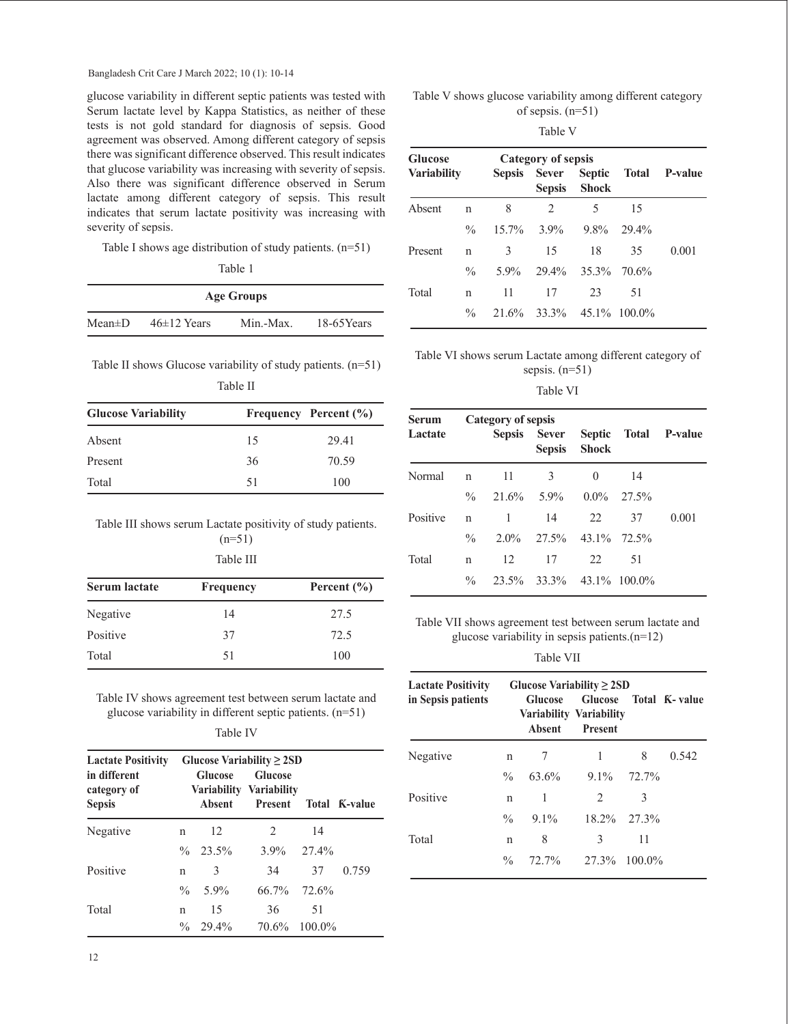Bangladesh Crit Care J March 2022; 10 (1): 10-14

glucose variability in different septic patients was tested with Serum lactate level by Kappa Statistics, as neither of these tests is not gold standard for diagnosis of sepsis. Good agreement was observed. Among different category of sepsis there was significant difference observed. This result indicates that glucose variability was increasing with severity of sepsis. Also there was significant difference observed in Serum lactate among different category of sepsis. This result indicates that serum lactate positivity was increasing with severity of sepsis.

Table I shows age distribution of study patients. (n=51)

|--|--|

| <b>Age Groups</b> |                 |           |               |  |  |  |
|-------------------|-----------------|-----------|---------------|--|--|--|
| Mean±D            | $46\pm12$ Years | Min.-Max. | $18-65$ Years |  |  |  |

Table II shows Glucose variability of study patients. (n=51)

| <b>Glucose Variability</b> |    | Frequency Percent (%) |  |
|----------------------------|----|-----------------------|--|
| Absent                     | 15 | 29.41                 |  |
| Present                    | 36 | 70.59                 |  |
| Total                      | 51 | 100                   |  |

Table III shows serum Lactate positivity of study patients.

 $(n=51)$ Table III

| <b>Serum lactate</b> | Frequency | Percent $(\% )$ |
|----------------------|-----------|-----------------|
| Negative             | 14        | 27.5            |
| Positive             | 37        | 72.5            |
| Total                | 51        | 100             |

Table IV shows agreement test between serum lactate and glucose variability in different septic patients. (n=51)

Table IV

| <b>Lactate Positivity</b><br>in different<br>category of<br><b>Sepsis</b> |               | <b>Glucose</b><br><b>Absent</b> | Glucose Variability $\geq$ 2SD<br><b>Glucose</b><br>Variability Variability<br><b>Present</b> |    | Total K-value |
|---------------------------------------------------------------------------|---------------|---------------------------------|-----------------------------------------------------------------------------------------------|----|---------------|
| Negative                                                                  | n             | 12                              | 2                                                                                             | 14 |               |
|                                                                           |               | $\%$ 23.5%                      | $3.9\%$ $27.4\%$                                                                              |    |               |
| Positive                                                                  | n             | 3                               | 34                                                                                            | 37 | 0.759         |
|                                                                           | $\frac{0}{0}$ | 5.9%                            | $66.7\%$ 72.6%                                                                                |    |               |
| Total                                                                     | n             | 15                              | 36                                                                                            | 51 |               |
|                                                                           | $\frac{0}{0}$ | 29.4%                           | 70.6% 100.0%                                                                                  |    |               |

Table V shows glucose variability among different category of sepsis. (n=51)

|--|--|

| <b>Glucose</b>     |               |          | <b>Category of sepsis</b>                     |             | Septic Total P-value |       |
|--------------------|---------------|----------|-----------------------------------------------|-------------|----------------------|-------|
| <b>Variability</b> |               |          | Sepsis Sever<br><b>Shock</b><br><b>Sepsis</b> |             |                      |       |
| Absent             | n             | 8        | $\mathfrak{D}_{\mathfrak{p}}$                 | 5           | 15                   |       |
|                    | $\frac{0}{0}$ | $15.7\%$ | $3.9\%$                                       | $9.8\%$     | 29.4%                |       |
| Present            | n             | 3        | 15                                            | 18          | 35                   | 0.001 |
|                    | $\%$          | $5.9\%$  | 29.4%                                         | 35.3% 70.6% |                      |       |
| Total              | n             | 11       | 17                                            | 23          | -51                  |       |
|                    | $\%$          |          | $21.6\%$ $33.3\%$ $45.1\%$ $100.0\%$          |             |                      |       |

Table VI shows serum Lactate among different category of sepsis. (n=51)

Table VI

| Serum    |               | <b>Category of sepsis</b> |                          |              |       |                      |
|----------|---------------|---------------------------|--------------------------|--------------|-------|----------------------|
| Lactate  |               |                           | Sepsis Sever             | Sepsis Shock |       | Septic Total P-value |
| Normal   | n             | 11                        | 3                        | $\theta$     | 14    |                      |
|          | $\frac{0}{0}$ | $21.6\%$ 5.9%             |                          | $0.0\%$      | 27.5% |                      |
| Positive | n             | 1                         | 14                       | 22           | 37    | 0.001                |
|          | $\frac{0}{0}$ | $2.0\%$                   | 27.5% 43.1% 72.5%        |              |       |                      |
| Total    | n             | 12                        | 17                       | 22           | -51   |                      |
|          | $\frac{0}{0}$ |                           | 23.5% 33.3% 43.1% 100.0% |              |       |                      |

Table VII shows agreement test between serum lactate and glucose variability in sepsis patients.(n=12)

Table VII

| <b>Lactate Positivity</b><br>in Sepsis patients |               | Glucose Variability $\geq$ 2SD<br><b>Glucose</b><br>Absent | Glucose Total K-value<br>Variability Variability<br><b>Present</b> |          |       |
|-------------------------------------------------|---------------|------------------------------------------------------------|--------------------------------------------------------------------|----------|-------|
| Negative                                        | n             | 7                                                          | 1                                                                  | 8        | 0.542 |
|                                                 | $\frac{0}{0}$ | 63.6%                                                      | $9.1\%$                                                            | $72.7\%$ |       |
| Positive                                        | n             | 1                                                          | 2                                                                  | 3        |       |
|                                                 | $\frac{0}{0}$ | $9.1\%$                                                    | $18.2\%$ 27.3%                                                     |          |       |
| Total                                           | n             | 8                                                          | 3                                                                  | 11       |       |
|                                                 | $\frac{0}{0}$ | $72.7\%$                                                   | 27.3% 100.0%                                                       |          |       |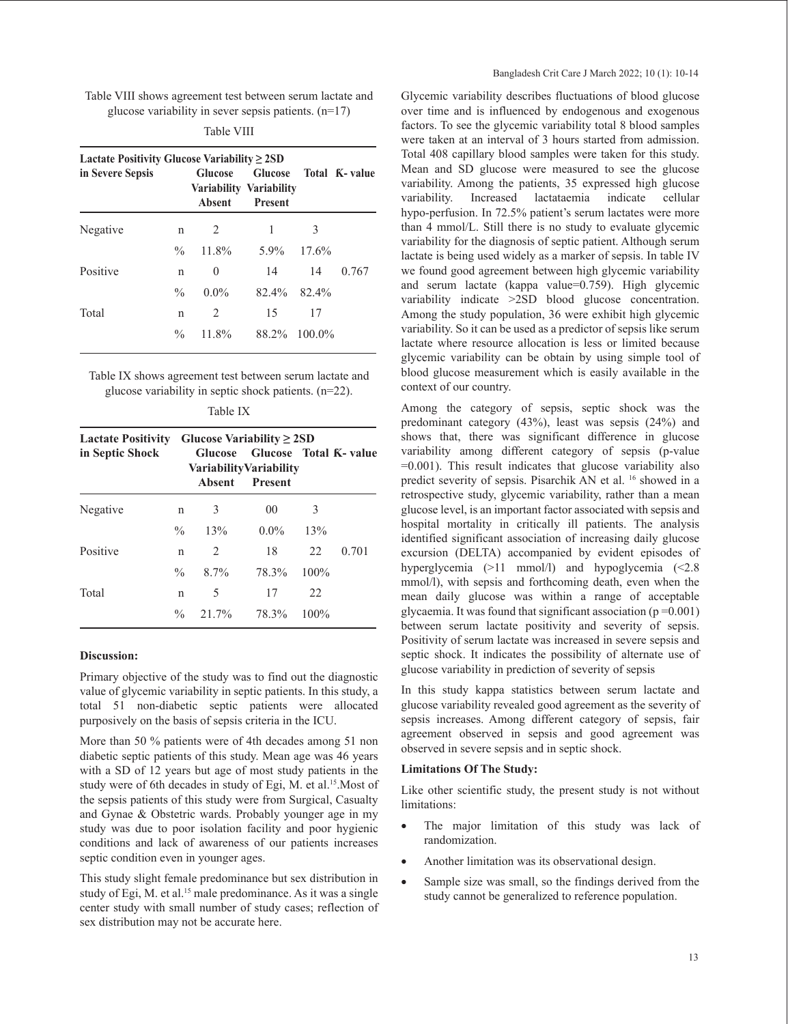Table VIII shows agreement test between serum lactate and glucose variability in sever sepsis patients.  $(n=17)$ 

|--|--|

| Lactate Positivity Glucose Variability $\geq 2SD$<br>in Severe Sepsis |               | <b>Glucose</b><br>Absent | Variability Variability<br><b>Present</b> |       | Glucose Total K- value |
|-----------------------------------------------------------------------|---------------|--------------------------|-------------------------------------------|-------|------------------------|
| Negative                                                              | n             | 2                        | 1                                         | 3     |                        |
|                                                                       | $\%$          | 11.8%                    | 5.9%                                      | 17.6% |                        |
| Positive                                                              | n             | 0                        | 14                                        | 14    | 0.767                  |
|                                                                       | $\frac{0}{0}$ | $0.0\%$                  | $82.4\%$                                  | 82.4% |                        |
| Total                                                                 | n             | 2                        | 15                                        | 17    |                        |
|                                                                       | $\frac{0}{0}$ | 11.8%                    | 88.2% 100.0%                              |       |                        |

Table IX shows agreement test between serum lactate and glucose variability in septic shock patients. (n=22).

| ٠n٠<br>л. |  |
|-----------|--|
|-----------|--|

| <b>Lactate Positivity</b><br>in Septic Shock |               | Absent | Glucose Variability $\geq$ 2SD<br>Glucose Glucose Total K- value<br><b>Variability Variability</b><br><b>Present</b> |         |       |
|----------------------------------------------|---------------|--------|----------------------------------------------------------------------------------------------------------------------|---------|-------|
| Negative                                     | n             | 3      | 00                                                                                                                   | 3       |       |
|                                              | $\frac{0}{0}$ | 13%    | $0.0\%$                                                                                                              | 13%     |       |
| Positive                                     | n             | 2      | 18                                                                                                                   | 22      | 0.701 |
|                                              | $\frac{0}{0}$ | 8.7%   | 78.3%                                                                                                                | $100\%$ |       |
| Total                                        | n             | 5      | 17                                                                                                                   | 22      |       |
|                                              | $\frac{0}{0}$ | 21.7%  | 78.3%                                                                                                                | $100\%$ |       |

# **Discussion:**

Primary objective of the study was to find out the diagnostic value of glycemic variability in septic patients. In this study, a total 51 non-diabetic septic patients were allocated purposively on the basis of sepsis criteria in the ICU.

More than 50 % patients were of 4th decades among 51 non diabetic septic patients of this study. Mean age was 46 years with a SD of 12 years but age of most study patients in the study were of 6th decades in study of Egi, M. et al.<sup>15</sup>. Most of the sepsis patients of this study were from Surgical, Casualty and Gynae & Obstetric wards. Probably younger age in my study was due to poor isolation facility and poor hygienic conditions and lack of awareness of our patients increases septic condition even in younger ages.

This study slight female predominance but sex distribution in study of Egi, M. et al.<sup>15</sup> male predominance. As it was a single center study with small number of study cases; reflection of sex distribution may not be accurate here.

Glycemic variability describes fluctuations of blood glucose over time and is influenced by endogenous and exogenous factors. To see the glycemic variability total 8 blood samples were taken at an interval of 3 hours started from admission. Total 408 capillary blood samples were taken for this study. Mean and SD glucose were measured to see the glucose variability. Among the patients, 35 expressed high glucose variability. Increased lactataemia indicate cellular hypo-perfusion. In 72.5% patient's serum lactates were more than 4 mmol/L. Still there is no study to evaluate glycemic variability for the diagnosis of septic patient. Although serum lactate is being used widely as a marker of sepsis. In table IV we found good agreement between high glycemic variability and serum lactate (kappa value=0.759). High glycemic variability indicate >2SD blood glucose concentration. Among the study population, 36 were exhibit high glycemic variability. So it can be used as a predictor of sepsis like serum lactate where resource allocation is less or limited because glycemic variability can be obtain by using simple tool of blood glucose measurement which is easily available in the context of our country.

Among the category of sepsis, septic shock was the predominant category (43%), least was sepsis (24%) and shows that, there was significant difference in glucose variability among different category of sepsis (p-value =0.001). This result indicates that glucose variability also predict severity of sepsis. Pisarchik AN et al. 16 showed in a retrospective study, glycemic variability, rather than a mean glucose level, is an important factor associated with sepsis and hospital mortality in critically ill patients. The analysis identified significant association of increasing daily glucose excursion (DELTA) accompanied by evident episodes of hyperglycemia (>11 mmol/l) and hypoglycemia (<2.8 mmol/l), with sepsis and forthcoming death, even when the mean daily glucose was within a range of acceptable glycaemia. It was found that significant association ( $p = 0.001$ ) between serum lactate positivity and severity of sepsis. Positivity of serum lactate was increased in severe sepsis and septic shock. It indicates the possibility of alternate use of glucose variability in prediction of severity of sepsis

In this study kappa statistics between serum lactate and glucose variability revealed good agreement as the severity of sepsis increases. Among different category of sepsis, fair agreement observed in sepsis and good agreement was observed in severe sepsis and in septic shock.

#### **Limitations Of The Study:**

Like other scientific study, the present study is not without limitations:

- The major limitation of this study was lack of randomization.
- Another limitation was its observational design.
- Sample size was small, so the findings derived from the study cannot be generalized to reference population.